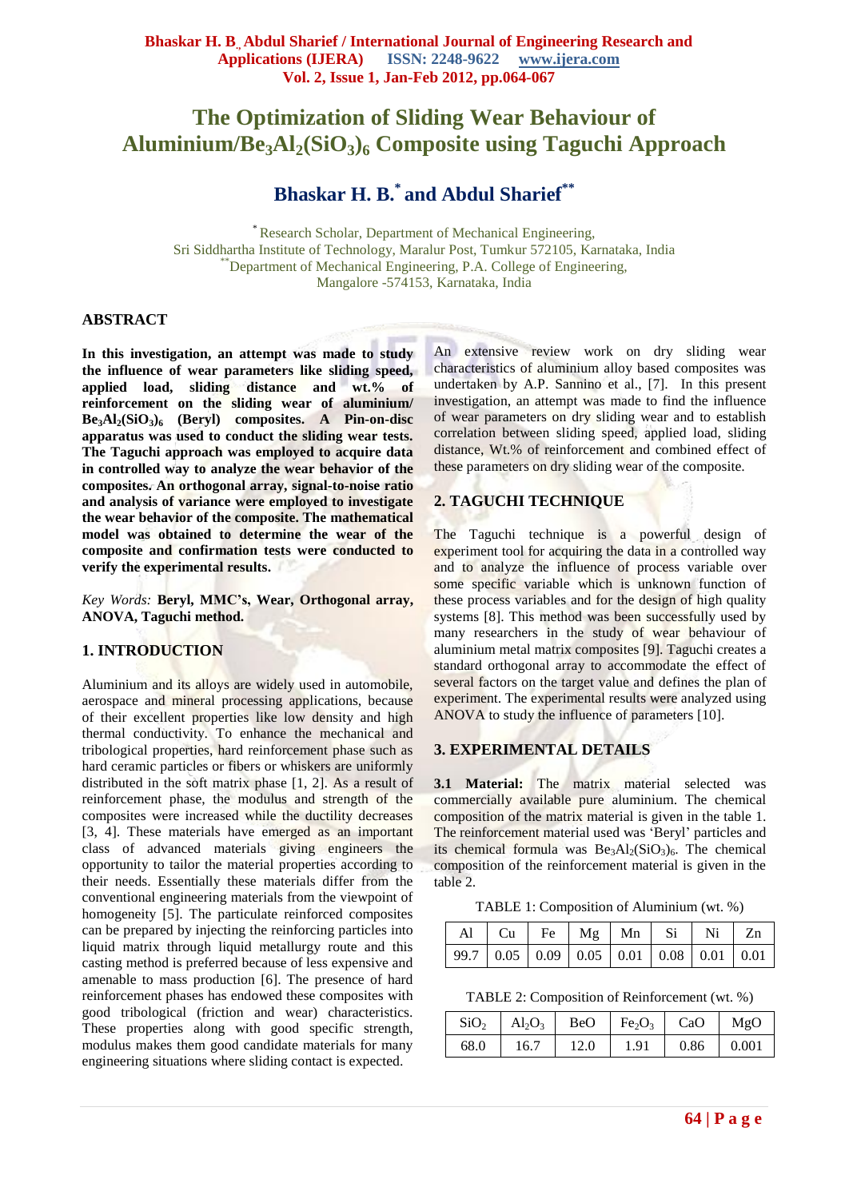# **The Optimization of Sliding Wear Behaviour of Aluminium/Be3Al2(SiO3)<sup>6</sup> Composite using Taguchi Approach**

# **Bhaskar H. B.\* and Abdul Sharief\*\***

\* Research Scholar, Department of Mechanical Engineering, Sri Siddhartha Institute of Technology, Maralur Post, Tumkur 572105, Karnataka, India \*\*Department of Mechanical Engineering, P.A. College of Engineering, Mangalore -574153, Karnataka, India

### **ABSTRACT**

**In this investigation, an attempt was made to study the influence of wear parameters like sliding speed, applied load, sliding distance and wt.% of reinforcement on the sliding wear of aluminium/ Be3Al2(SiO3)<sup>6</sup> (Beryl) composites. A Pin-on-disc apparatus was used to conduct the sliding wear tests. The Taguchi approach was employed to acquire data in controlled way to analyze the wear behavior of the composites. An orthogonal array, signal-to-noise ratio and analysis of variance were employed to investigate the wear behavior of the composite. The mathematical model was obtained to determine the wear of the composite and confirmation tests were conducted to verify the experimental results.**

*Key Words:* **Beryl, MMC's, Wear, Orthogonal array, ANOVA, Taguchi method.**

### **1. INTRODUCTION**

Aluminium and its alloys are widely used in automobile, aerospace and mineral processing applications, because of their excellent properties like low density and high thermal conductivity. To enhance the mechanical and tribological properties, hard reinforcement phase such as hard ceramic particles or fibers or whiskers are uniformly distributed in the soft matrix phase [1, 2]. As a result of reinforcement phase, the modulus and strength of the composites were increased while the ductility decreases [3, 4]. These materials have emerged as an important class of advanced materials giving engineers the opportunity to tailor the material properties according to their needs. Essentially these materials differ from the conventional engineering materials from the viewpoint of homogeneity [5]. The particulate reinforced composites can be prepared by injecting the reinforcing particles into liquid matrix through liquid metallurgy route and this casting method is preferred because of less expensive and amenable to mass production [6]. The presence of hard reinforcement phases has endowed these composites with good tribological (friction and wear) characteristics. These properties along with good specific strength, modulus makes them good candidate materials for many engineering situations where sliding contact is expected.

An extensive review work on dry sliding wear characteristics of aluminium alloy based composites was undertaken by A.P. Sannino et al., [7]. In this present investigation, an attempt was made to find the influence of wear parameters on dry sliding wear and to establish correlation between sliding speed, applied load, sliding distance, Wt.% of reinforcement and combined effect of these parameters on dry sliding wear of the composite.

## **2. TAGUCHI TECHNIQUE**

The Taguchi technique is a powerful design of experiment tool for acquiring the data in a controlled way and to analyze the influence of process variable over some specific variable which is unknown function of these process variables and for the design of high quality systems [8]. This method was been successfully used by many researchers in the study of wear behaviour of aluminium metal matrix composites [9]. Taguchi creates a standard orthogonal array to accommodate the effect of several factors on the target value and defines the plan of experiment. The experimental results were analyzed using ANOVA to study the influence of parameters [10].

## **3. EXPERIMENTAL DETAILS**

**3.1 Material:** The matrix material selected was commercially available pure aluminium. The chemical composition of the matrix material is given in the table 1. The reinforcement material used was "Beryl" particles and its chemical formula was  $Be<sub>3</sub>Al<sub>2</sub>(SiO<sub>3</sub>)<sub>6</sub>$ . The chemical composition of the reinforcement material is given in the table 2.

TABLE 1: Composition of Aluminium (wt. %)

| $\vert$ Al $\vert$ Cu $\vert$ Fe $\vert$ Mg $\vert$ Mn $\vert$ Si $\vert$ Ni $\vert$ Zn |  |  |  |  |
|-----------------------------------------------------------------------------------------|--|--|--|--|
| $\boxed{99.7 \mid 0.05 \mid 0.09 \mid 0.05 \mid 0.01 \mid 0.08}$ 0.01 0.01              |  |  |  |  |

TABLE 2: Composition of Reinforcement (wt. %)

| SiO <sub>2</sub> | $Al_2O_3$ | BeO  | Fe <sub>2</sub> O <sub>3</sub> | CaO  | MgO   |
|------------------|-----------|------|--------------------------------|------|-------|
| 68.0             | 16.7      | 12.0 | 1.91                           | 0.86 | 0.001 |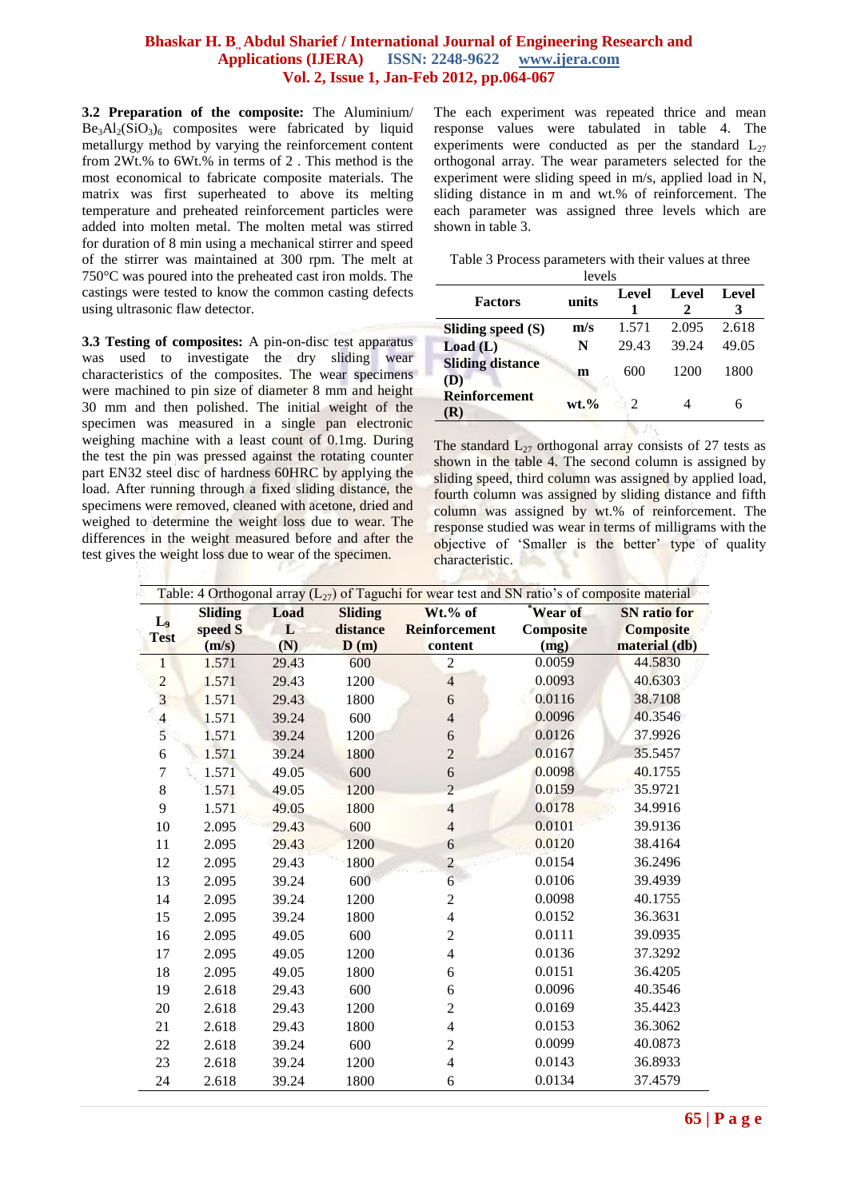#### **Bhaskar H. B., Abdul Sharief / International Journal of Engineering Research and Applications (IJERA) ISSN: 2248-9622 www.ijera.com Vol. 2, Issue 1, Jan-Feb 2012, pp.064-067**

**3.2 Preparation of the composite:** The Aluminium/  $Be<sub>3</sub>Al<sub>2</sub>(SiO<sub>3</sub>)<sub>6</sub>$  composites were fabricated by liquid metallurgy method by varying the reinforcement content from 2Wt.% to 6Wt.% in terms of 2 . This method is the most economical to fabricate composite materials. The matrix was first superheated to above its melting temperature and preheated reinforcement particles were added into molten metal. The molten metal was stirred for duration of 8 min using a mechanical stirrer and speed of the stirrer was maintained at 300 rpm. The melt at 750°C was poured into the preheated cast iron molds. The castings were tested to know the common casting defects using ultrasonic flaw detector.

**3.3 Testing of composites:** A pin-on-disc test apparatus was used to investigate the dry sliding wear characteristics of the composites. The wear specimens were machined to pin size of diameter 8 mm and height 30 mm and then polished. The initial weight of the specimen was measured in a single pan electronic weighing machine with a least count of 0.1mg. During the test the pin was pressed against the rotating counter part EN32 steel disc of hardness 60HRC by applying the load. After running through a fixed sliding distance, the specimens were removed, cleaned with acetone, dried and weighed to determine the weight loss due to wear. The differences in the weight measured before and after the test gives the weight loss due to wear of the specimen.

The each experiment was repeated thrice and mean response values were tabulated in table 4. The experiments were conducted as per the standard  $L_{27}$ orthogonal array. The wear parameters selected for the experiment were sliding speed in m/s, applied load in N, sliding distance in m and wt.% of reinforcement. The each parameter was assigned three levels which are shown in table 3.

| Table 3 Process parameters with their values at three |  |  |  |
|-------------------------------------------------------|--|--|--|
|                                                       |  |  |  |

| levels                         |          |       |                   |       |  |  |  |
|--------------------------------|----------|-------|-------------------|-------|--|--|--|
| <b>Factors</b>                 | units    | Level | <b>Level</b><br>2 | Level |  |  |  |
| Sliding speed (S)              | m/s      | 1.571 | 2.095             | 2.618 |  |  |  |
| Load(L)                        | N        | 29.43 | 39.24             | 49.05 |  |  |  |
| <b>Sliding distance</b><br>(D) | m        | 600   | 1200              | 1800  |  |  |  |
| Reinforcement<br>$\bf R)$      | $wt. \%$ |       |                   |       |  |  |  |

The standard  $L_{27}$  orthogonal array consists of 27 tests as shown in the table 4. The second column is assigned by sliding speed, third column was assigned by applied load, fourth column was assigned by sliding distance and fifth column was assigned by wt.% of reinforcement. The response studied was wear in terms of milligrams with the objective of 'Smaller is the better' type of quality characteristic.

|                         | Table: 4 Orthogonal array $(L_{27})$ of Taguchi for wear test and SN ratio's of composite material |       |                |                          |           |                     |  |  |
|-------------------------|----------------------------------------------------------------------------------------------------|-------|----------------|--------------------------|-----------|---------------------|--|--|
| L <sub>9</sub>          | <b>Sliding</b>                                                                                     | Load  | <b>Sliding</b> | Wt.% of                  | Wear of   | <b>SN</b> ratio for |  |  |
| <b>Test</b>             | speed S                                                                                            | L     | distance       | <b>Reinforcement</b>     | Composite | <b>Composite</b>    |  |  |
|                         | (m/s)                                                                                              | (N)   | D(m)           | content                  | (mg)      | material (db)       |  |  |
| 1                       | 1.571                                                                                              | 29.43 | 600            | $\overline{2}$           | 0.0059    | 44.5830             |  |  |
| $\overline{c}$          | 1.571                                                                                              | 29.43 | 1200           | $\overline{4}$           | 0.0093    | 40.6303             |  |  |
| $\overline{\mathbf{3}}$ | 1.571                                                                                              | 29.43 | 1800           | 6                        | 0.0116    | 38.7108             |  |  |
| $\overline{4}$          | 1.571                                                                                              | 39.24 | 600            | $\overline{\mathbf{4}}$  | 0.0096    | 40.3546             |  |  |
| 5                       | 1.571                                                                                              | 39.24 | 1200           | 6                        | 0.0126    | 37.9926             |  |  |
| 6                       | 1.571                                                                                              | 39.24 | 1800           | $\overline{2}$           | 0.0167    | 35.5457             |  |  |
| 7                       | 1.571                                                                                              | 49.05 | 600            | 6                        | 0.0098    | 40.1755             |  |  |
| $8\,$                   | 1.571                                                                                              | 49.05 | 1200           | $\overline{2}$           | 0.0159    | 35.9721             |  |  |
| 9                       | 1.571                                                                                              | 49.05 | 1800           | $\overline{4}$           | 0.0178    | 34.9916             |  |  |
| 10                      | 2.095                                                                                              | 29.43 | 600            | 4                        | 0.0101    | 39.9136             |  |  |
| 11                      | 2.095                                                                                              | 29.43 | 1200           | 6                        | 0.0120    | 38.4164             |  |  |
| 12                      | 2.095                                                                                              | 29.43 | 1800           | $\overline{c}$           | 0.0154    | 36.2496             |  |  |
| 13                      | 2.095                                                                                              | 39.24 | 600            | 6                        | 0.0106    | 39.4939             |  |  |
| 14                      | 2.095                                                                                              | 39.24 | 1200           | $\overline{c}$           | 0.0098    | 40.1755             |  |  |
| 15                      | 2.095                                                                                              | 39.24 | 1800           | 4                        | 0.0152    | 36.3631             |  |  |
| 16                      | 2.095                                                                                              | 49.05 | 600            | $\overline{c}$           | 0.0111    | 39.0935             |  |  |
| 17                      | 2.095                                                                                              | 49.05 | 1200           | $\overline{\mathcal{L}}$ | 0.0136    | 37.3292             |  |  |
| 18                      | 2.095                                                                                              | 49.05 | 1800           | 6                        | 0.0151    | 36.4205             |  |  |
| 19                      | 2.618                                                                                              | 29.43 | 600            | 6                        | 0.0096    | 40.3546             |  |  |
| 20                      | 2.618                                                                                              | 29.43 | 1200           | $\overline{c}$           | 0.0169    | 35.4423             |  |  |
| 21                      | 2.618                                                                                              | 29.43 | 1800           | 4                        | 0.0153    | 36.3062             |  |  |
| 22                      | 2.618                                                                                              | 39.24 | 600            | $\overline{c}$           | 0.0099    | 40.0873             |  |  |
| 23                      | 2.618                                                                                              | 39.24 | 1200           | $\overline{\mathcal{L}}$ | 0.0143    | 36.8933             |  |  |
| 24                      | 2.618                                                                                              | 39.24 | 1800           | 6                        | 0.0134    | 37.4579             |  |  |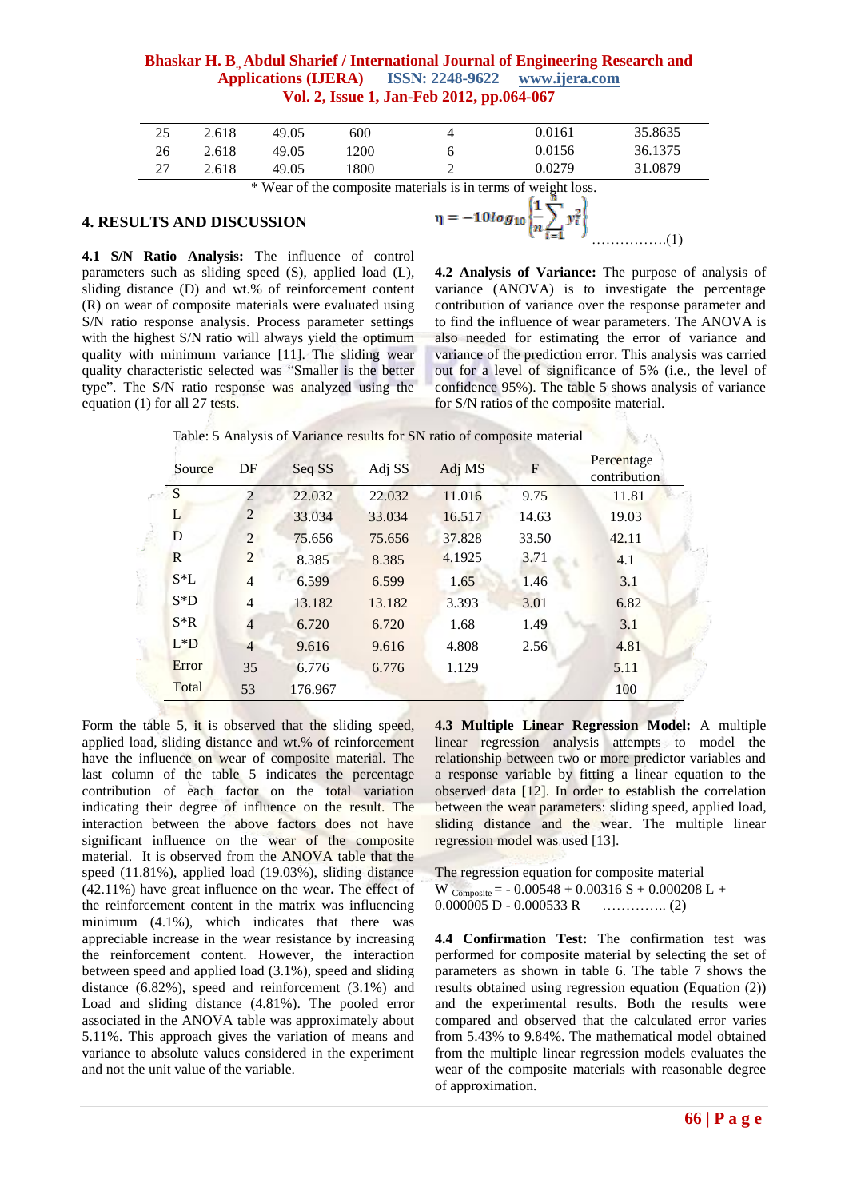#### **Bhaskar H. B., Abdul Sharief / International Journal of Engineering Research and Applications (IJERA) ISSN: 2248-9622 www.ijera.com Vol. 2, Issue 1, Jan-Feb 2012, pp.064-067**

| 25 | 2.618 | 49.05 | 600 | 0.0161 | 35.8635 |
|----|-------|-------|-----|--------|---------|
| 26 | 2.618 | 49.05 | 200 | 0.0156 | 36.1375 |
| 27 | 2.618 | 49.05 | 800 | 0.0279 | 31.0879 |

\* Wear of the composite materials is in terms of weight loss.

#### **4. RESULTS AND DISCUSSION**

**4.1 S/N Ratio Analysis:** The influence of control parameters such as sliding speed (S), applied load (L), sliding distance (D) and wt.% of reinforcement content (R) on wear of composite materials were evaluated using S/N ratio response analysis. Process parameter settings with the highest S/N ratio will always yield the optimum quality with minimum variance [11]. The sliding wear quality characteristic selected was "Smaller is the better type". The S/N ratio response was analyzed using the equation (1) for all 27 tests.



**4.2 Analysis of Variance:** The purpose of analysis of variance (ANOVA) is to investigate the percentage contribution of variance over the response parameter and to find the influence of wear parameters. The ANOVA is also needed for estimating the error of variance and variance of the prediction error. This analysis was carried out for a level of significance of 5% (i.e., the level of confidence 95%). The table 5 shows analysis of variance for S/N ratios of the composite material.

Table: 5 Analysis of Variance results for SN ratio of composite material

| Source | DF             | Seq SS  | Adj SS | Adj MS | $\mathbf{F}$ | Percentage<br>contribution |
|--------|----------------|---------|--------|--------|--------------|----------------------------|
| S      | $\overline{2}$ | 22.032  | 22.032 | 11.016 | 9.75         | 11.81                      |
| L      | $\overline{2}$ | 33.034  | 33.034 | 16.517 | 14.63        | 19.03                      |
| D      | 2              | 75.656  | 75.656 | 37.828 | 33.50        | 42.11                      |
| R      | $\overline{2}$ | 8.385   | 8.385  | 4.1925 | 3.71         | 4.1                        |
| $S^*L$ | $\overline{4}$ | 6.599   | 6.599  | 1.65   | 1.46         | 3.1                        |
| $S^*D$ | $\overline{4}$ | 13.182  | 13.182 | 3.393  | 3.01         | 6.82                       |
| $S^*R$ | $\overline{4}$ | 6.720   | 6.720  | 1.68   | 1.49         | 3.1                        |
| $L^*D$ | $\overline{4}$ | 9.616   | 9.616  | 4.808  | 2.56         | 4.81                       |
| Error  | 35             | 6.776   | 6.776  | 1.129  |              | 5.11                       |
| Total  | 53             | 176.967 |        |        |              | 100                        |
|        |                |         |        |        |              |                            |

Form the table 5, it is observed that the sliding speed, applied load, sliding distance and wt.% of reinforcement have the influence on wear of composite material. The last column of the table 5 indicates the percentage contribution of each factor on the total variation indicating their degree of influence on the result. The interaction between the above factors does not have significant influence on the wear of the composite material. It is observed from the ANOVA table that the speed (11.81%), applied load (19.03%), sliding distance (42.11%) have great influence on the wear**.** The effect of the reinforcement content in the matrix was influencing minimum (4.1%), which indicates that there was appreciable increase in the wear resistance by increasing the reinforcement content. However, the interaction between speed and applied load (3.1%), speed and sliding distance (6.82%), speed and reinforcement (3.1%) and Load and sliding distance (4.81%). The pooled error associated in the ANOVA table was approximately about 5.11%. This approach gives the variation of means and variance to absolute values considered in the experiment and not the unit value of the variable.

**4.3 Multiple Linear Regression Model:** A multiple linear regression analysis attempts to model the relationship between two or more predictor variables and a response variable by fitting a linear equation to the observed data [12]. In order to establish the correlation between the wear parameters: sliding speed, applied load, sliding distance and the wear. The multiple linear regression model was used [13].

The regression equation for composite material W  $_{Composite} = -0.00548 + 0.00316 S + 0.000208 L +$ 0.000005 D - 0.000533 R ………….. (2)

**4.4 Confirmation Test:** The confirmation test was performed for composite material by selecting the set of parameters as shown in table 6. The table 7 shows the results obtained using regression equation (Equation (2)) and the experimental results. Both the results were compared and observed that the calculated error varies from 5.43% to 9.84%. The mathematical model obtained from the multiple linear regression models evaluates the wear of the composite materials with reasonable degree of approximation.